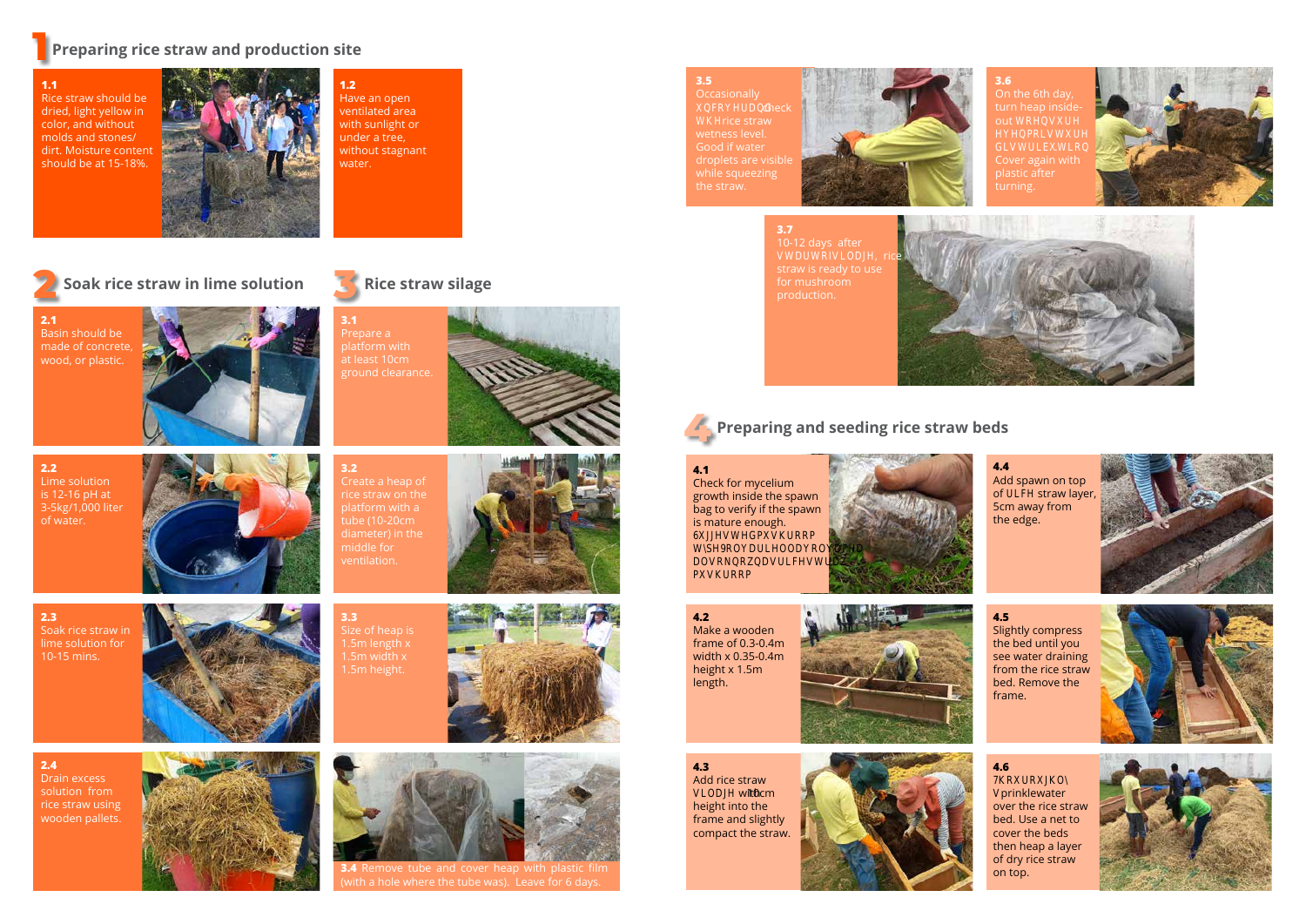**1**

# **Preparing rice straw and production site**

# **4 Preparing and seeding rice straw beds**

### **2.1** Basin should be made of concrete,



**2.2** Lime solution is 12-16 pH at 3-5kg/1,000 liter of water.







**3.1** Prepare a



**2.3** Soak rice straw in lime solution for 10-15 mins.



**1.2** Have an open ventilated area with sunlight or under a tree, without stagnant water.

**Occasionally** BRHUDGO check **H**Dce straw Good if water droplets are visible while squeezing the straw.



**3.6** On the 6th day, turn heap inside $out$  RHDHD **HABROOHO** GLUUDRO turning.





at least 10cm ground clearance.

**2** Soak rice straw in lime solution **Soak rice straw in lime solution Constraints Rice straw silage** 

**3.2**

Create a heap of

platform with a

### **4.6**  $\overline{R}$



tube (10-20cm diameter) in the middle for ventilation.

**Brinkle** water over the rice straw bed. Use a net to cover the beds then heap a layer of dry rice straw on top.



**3.7** 10-12 days after DURIDOD<sub>H</sub>, rice straw is ready to use production.



## **3.5**

**4.1** Check for mycelium growth inside the spawn bag to verify if the spawn is mature enough.<sup>[]</sup> 688GPORRPD **SHRODULHOODRODEHD** DORRDDUEHODU **PDRRPD** 

**3.3** Size of heap is 1.5m length x 1.5m width x 1.5m height.



**3.4** Remove tube and cover heap with plastic film (with a hole where the tube was). Leave for 6 days.

## **4.5**

Slightly compress the bed until you see water draining from the rice straw bed. Remove the frame.



**4.3** Add rice straw<sup>II</sup> VLODJH with10cm height into the frame and slightly compact the straw.





**4.2** Make a wooden frame of 0.3-0.4m width x 0.35-0.4m height x 1.5m length.

**4.4** Add spawn on top of ULHH straw layer, 5cm away from the edge.



**1.1** Rice straw should be dried, light yellow in color, and without molds and stones/ dirt. Moisture content should be at 15-18%.